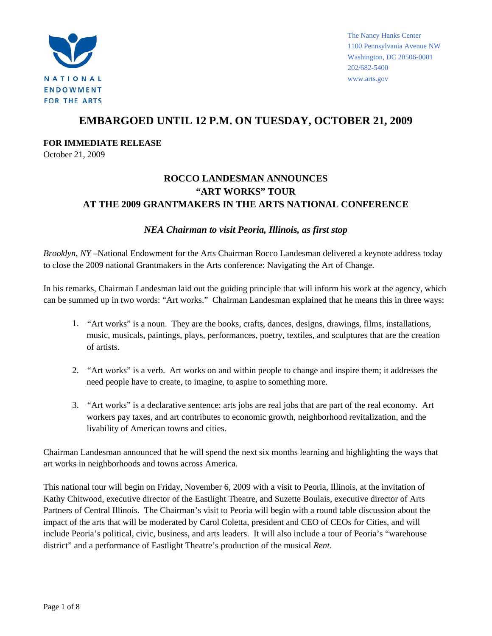

**FOR IMMEDIATE RELEASE** 

October 21, 2009

#### **ROCCO LANDESMAN ANNOUNCES "ART WORKS" TOUR AT THE 2009 GRANTMAKERS IN THE ARTS NATIONAL CONFERENCE**

#### *NEA Chairman to visit Peoria, Illinois, as first stop*

*Brooklyn, NY* –National Endowment for the Arts Chairman Rocco Landesman delivered a keynote address today to close the 2009 national Grantmakers in the Arts conference: Navigating the Art of Change.

In his remarks, Chairman Landesman laid out the guiding principle that will inform his work at the agency, which can be summed up in two words: "Art works." Chairman Landesman explained that he means this in three ways:

- 1. "Art works" is a noun. They are the books, crafts, dances, designs, drawings, films, installations, music, musicals, paintings, plays, performances, poetry, textiles, and sculptures that are the creation of artists.
- 2. "Art works" is a verb. Art works on and within people to change and inspire them; it addresses the need people have to create, to imagine, to aspire to something more.
- 3. "Art works" is a declarative sentence: arts jobs are real jobs that are part of the real economy. Art workers pay taxes, and art contributes to economic growth, neighborhood revitalization, and the livability of American towns and cities.

Chairman Landesman announced that he will spend the next six months learning and highlighting the ways that art works in neighborhoods and towns across America.

This national tour will begin on Friday, November 6, 2009 with a visit to Peoria, Illinois, at the invitation of Kathy Chitwood, executive director of the Eastlight Theatre, and Suzette Boulais, executive director of Arts Partners of Central Illinois. The Chairman's visit to Peoria will begin with a round table discussion about the impact of the arts that will be moderated by Carol Coletta, president and CEO of CEOs for Cities, and will include Peoria's political, civic, business, and arts leaders. It will also include a tour of Peoria's "warehouse district" and a performance of Eastlight Theatre's production of the musical *Rent*.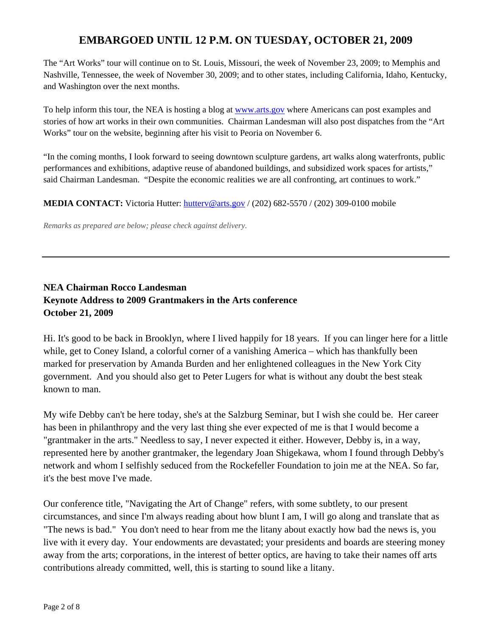The "Art Works" tour will continue on to St. Louis, Missouri, the week of November 23, 2009; to Memphis and Nashville, Tennessee, the week of November 30, 2009; and to other states, including California, Idaho, Kentucky, and Washington over the next months.

To help inform this tour, the NEA is hosting a blog at [www.arts.gov](http://www.arts.gov/) where Americans can post examples and stories of how art works in their own communities. Chairman Landesman will also post dispatches from the "Art Works" tour on the website, beginning after his visit to Peoria on November 6.

"In the coming months, I look forward to seeing downtown sculpture gardens, art walks along waterfronts, public performances and exhibitions, adaptive reuse of abandoned buildings, and subsidized work spaces for artists," said Chairman Landesman. "Despite the economic realities we are all confronting, art continues to work."

**MEDIA CONTACT:** Victoria Hutter: [hutterv@arts.gov](mailto:hutterv@arts.gov) / (202) 682-5570 / (202) 309-0100 mobile

*Remarks as prepared are below; please check against delivery.* 

# **NEA Chairman Rocco Landesman Keynote Address to 2009 Grantmakers in the Arts conference October 21, 2009**

Hi. It's good to be back in Brooklyn, where I lived happily for 18 years. If you can linger here for a little while, get to Coney Island, a colorful corner of a vanishing America – which has thankfully been marked for preservation by Amanda Burden and her enlightened colleagues in the New York City government. And you should also get to Peter Lugers for what is without any doubt the best steak known to man.

My wife Debby can't be here today, she's at the Salzburg Seminar, but I wish she could be. Her career has been in philanthropy and the very last thing she ever expected of me is that I would become a "grantmaker in the arts." Needless to say, I never expected it either. However, Debby is, in a way, represented here by another grantmaker, the legendary Joan Shigekawa, whom I found through Debby's network and whom I selfishly seduced from the Rockefeller Foundation to join me at the NEA. So far, it's the best move I've made.

Our conference title, "Navigating the Art of Change" refers, with some subtlety, to our present circumstances, and since I'm always reading about how blunt I am, I will go along and translate that as "The news is bad." You don't need to hear from me the litany about exactly how bad the news is, you live with it every day. Your endowments are devastated; your presidents and boards are steering money away from the arts; corporations, in the interest of better optics, are having to take their names off arts contributions already committed, well, this is starting to sound like a litany.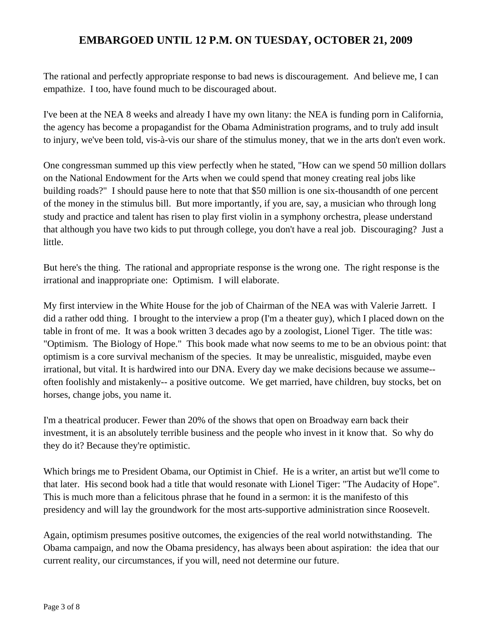The rational and perfectly appropriate response to bad news is discouragement. And believe me, I can empathize. I too, have found much to be discouraged about.

I've been at the NEA 8 weeks and already I have my own litany: the NEA is funding porn in California, the agency has become a propagandist for the Obama Administration programs, and to truly add insult to injury, we've been told, vis-à-vis our share of the stimulus money, that we in the arts don't even work.

One congressman summed up this view perfectly when he stated, "How can we spend 50 million dollars on the National Endowment for the Arts when we could spend that money creating real jobs like building roads?" I should pause here to note that that \$50 million is one six-thousandth of one percent of the money in the stimulus bill. But more importantly, if you are, say, a musician who through long study and practice and talent has risen to play first violin in a symphony orchestra, please understand that although you have two kids to put through college, you don't have a real job. Discouraging? Just a little.

But here's the thing. The rational and appropriate response is the wrong one. The right response is the irrational and inappropriate one: Optimism. I will elaborate.

My first interview in the White House for the job of Chairman of the NEA was with Valerie Jarrett. I did a rather odd thing. I brought to the interview a prop (I'm a theater guy), which I placed down on the table in front of me. It was a book written 3 decades ago by a zoologist, Lionel Tiger. The title was: "Optimism. The Biology of Hope." This book made what now seems to me to be an obvious point: that optimism is a core survival mechanism of the species. It may be unrealistic, misguided, maybe even irrational, but vital. It is hardwired into our DNA. Every day we make decisions because we assume- often foolishly and mistakenly-- a positive outcome. We get married, have children, buy stocks, bet on horses, change jobs, you name it.

I'm a theatrical producer. Fewer than 20% of the shows that open on Broadway earn back their investment, it is an absolutely terrible business and the people who invest in it know that. So why do they do it? Because they're optimistic.

Which brings me to President Obama, our Optimist in Chief. He is a writer, an artist but we'll come to that later. His second book had a title that would resonate with Lionel Tiger: "The Audacity of Hope". This is much more than a felicitous phrase that he found in a sermon: it is the manifesto of this presidency and will lay the groundwork for the most arts-supportive administration since Roosevelt.

Again, optimism presumes positive outcomes, the exigencies of the real world notwithstanding. The Obama campaign, and now the Obama presidency, has always been about aspiration: the idea that our current reality, our circumstances, if you will, need not determine our future.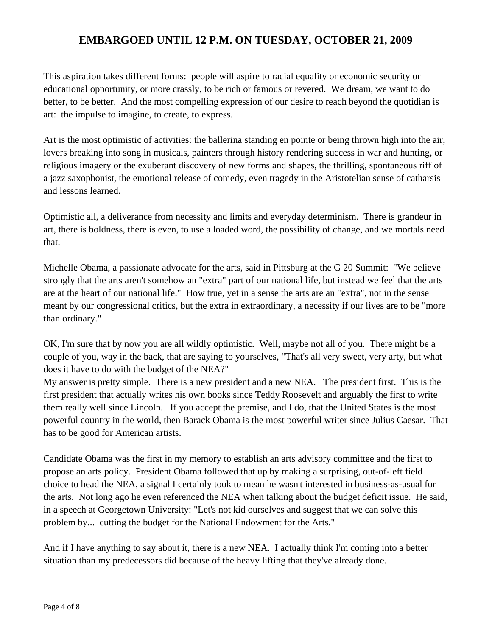This aspiration takes different forms: people will aspire to racial equality or economic security or educational opportunity, or more crassly, to be rich or famous or revered. We dream, we want to do better, to be better. And the most compelling expression of our desire to reach beyond the quotidian is art: the impulse to imagine, to create, to express.

Art is the most optimistic of activities: the ballerina standing en pointe or being thrown high into the air, lovers breaking into song in musicals, painters through history rendering success in war and hunting, or religious imagery or the exuberant discovery of new forms and shapes, the thrilling, spontaneous riff of a jazz saxophonist, the emotional release of comedy, even tragedy in the Aristotelian sense of catharsis and lessons learned.

Optimistic all, a deliverance from necessity and limits and everyday determinism. There is grandeur in art, there is boldness, there is even, to use a loaded word, the possibility of change, and we mortals need that.

Michelle Obama, a passionate advocate for the arts, said in Pittsburg at the G 20 Summit: "We believe strongly that the arts aren't somehow an "extra" part of our national life, but instead we feel that the arts are at the heart of our national life." How true, yet in a sense the arts are an "extra", not in the sense meant by our congressional critics, but the extra in extraordinary, a necessity if our lives are to be "more than ordinary."

OK, I'm sure that by now you are all wildly optimistic. Well, maybe not all of you. There might be a couple of you, way in the back, that are saying to yourselves, "That's all very sweet, very arty, but what does it have to do with the budget of the NEA?"

My answer is pretty simple. There is a new president and a new NEA. The president first. This is the first president that actually writes his own books since Teddy Roosevelt and arguably the first to write them really well since Lincoln. If you accept the premise, and I do, that the United States is the most powerful country in the world, then Barack Obama is the most powerful writer since Julius Caesar. That has to be good for American artists.

Candidate Obama was the first in my memory to establish an arts advisory committee and the first to propose an arts policy. President Obama followed that up by making a surprising, out-of-left field choice to head the NEA, a signal I certainly took to mean he wasn't interested in business-as-usual for the arts. Not long ago he even referenced the NEA when talking about the budget deficit issue. He said, in a speech at Georgetown University: "Let's not kid ourselves and suggest that we can solve this problem by... cutting the budget for the National Endowment for the Arts."

And if I have anything to say about it, there is a new NEA. I actually think I'm coming into a better situation than my predecessors did because of the heavy lifting that they've already done.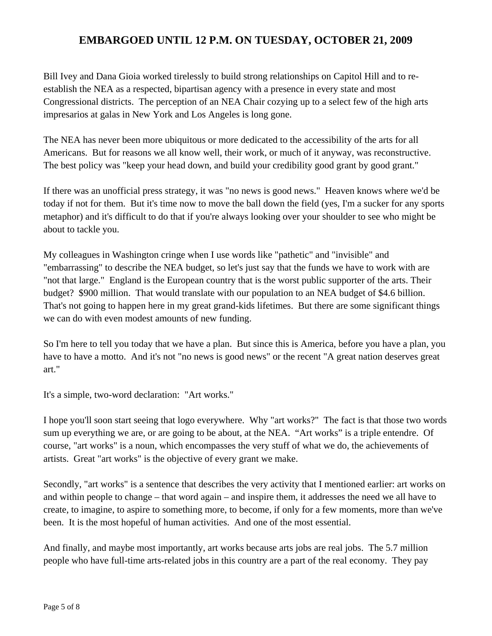Bill Ivey and Dana Gioia worked tirelessly to build strong relationships on Capitol Hill and to reestablish the NEA as a respected, bipartisan agency with a presence in every state and most Congressional districts. The perception of an NEA Chair cozying up to a select few of the high arts impresarios at galas in New York and Los Angeles is long gone.

The NEA has never been more ubiquitous or more dedicated to the accessibility of the arts for all Americans. But for reasons we all know well, their work, or much of it anyway, was reconstructive. The best policy was "keep your head down, and build your credibility good grant by good grant."

If there was an unofficial press strategy, it was "no news is good news." Heaven knows where we'd be today if not for them. But it's time now to move the ball down the field (yes, I'm a sucker for any sports metaphor) and it's difficult to do that if you're always looking over your shoulder to see who might be about to tackle you.

My colleagues in Washington cringe when I use words like "pathetic" and "invisible" and "embarrassing" to describe the NEA budget, so let's just say that the funds we have to work with are "not that large." England is the European country that is the worst public supporter of the arts. Their budget? \$900 million. That would translate with our population to an NEA budget of \$4.6 billion. That's not going to happen here in my great grand-kids lifetimes. But there are some significant things we can do with even modest amounts of new funding.

So I'm here to tell you today that we have a plan. But since this is America, before you have a plan, you have to have a motto. And it's not "no news is good news" or the recent "A great nation deserves great art."

It's a simple, two-word declaration: "Art works."

I hope you'll soon start seeing that logo everywhere. Why "art works?" The fact is that those two words sum up everything we are, or are going to be about, at the NEA. "Art works" is a triple entendre. Of course, "art works" is a noun, which encompasses the very stuff of what we do, the achievements of artists. Great "art works" is the objective of every grant we make.

Secondly, "art works" is a sentence that describes the very activity that I mentioned earlier: art works on and within people to change – that word again – and inspire them, it addresses the need we all have to create, to imagine, to aspire to something more, to become, if only for a few moments, more than we've been. It is the most hopeful of human activities. And one of the most essential.

And finally, and maybe most importantly, art works because arts jobs are real jobs. The 5.7 million people who have full-time arts-related jobs in this country are a part of the real economy. They pay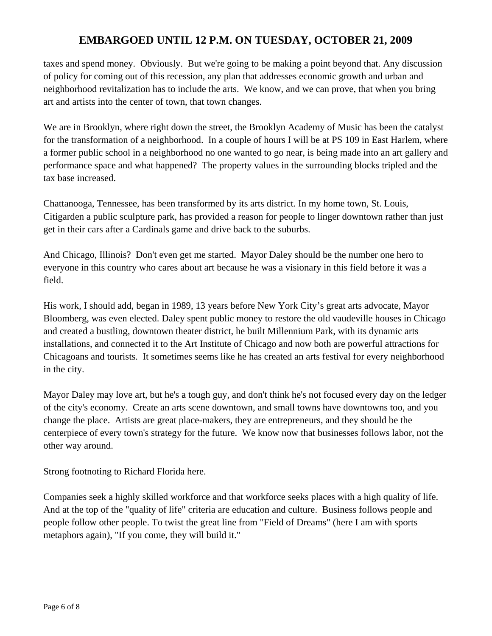taxes and spend money. Obviously. But we're going to be making a point beyond that. Any discussion of policy for coming out of this recession, any plan that addresses economic growth and urban and neighborhood revitalization has to include the arts. We know, and we can prove, that when you bring art and artists into the center of town, that town changes.

We are in Brooklyn, where right down the street, the Brooklyn Academy of Music has been the catalyst for the transformation of a neighborhood. In a couple of hours I will be at PS 109 in East Harlem, where a former public school in a neighborhood no one wanted to go near, is being made into an art gallery and performance space and what happened? The property values in the surrounding blocks tripled and the tax base increased.

Chattanooga, Tennessee, has been transformed by its arts district. In my home town, St. Louis, Citigarden a public sculpture park, has provided a reason for people to linger downtown rather than just get in their cars after a Cardinals game and drive back to the suburbs.

And Chicago, Illinois? Don't even get me started. Mayor Daley should be the number one hero to everyone in this country who cares about art because he was a visionary in this field before it was a field.

His work, I should add, began in 1989, 13 years before New York City's great arts advocate, Mayor Bloomberg, was even elected. Daley spent public money to restore the old vaudeville houses in Chicago and created a bustling, downtown theater district, he built Millennium Park, with its dynamic arts installations, and connected it to the Art Institute of Chicago and now both are powerful attractions for Chicagoans and tourists. It sometimes seems like he has created an arts festival for every neighborhood in the city.

Mayor Daley may love art, but he's a tough guy, and don't think he's not focused every day on the ledger of the city's economy. Create an arts scene downtown, and small towns have downtowns too, and you change the place. Artists are great place-makers, they are entrepreneurs, and they should be the centerpiece of every town's strategy for the future. We know now that businesses follows labor, not the other way around.

Strong footnoting to Richard Florida here.

Companies seek a highly skilled workforce and that workforce seeks places with a high quality of life. And at the top of the "quality of life" criteria are education and culture. Business follows people and people follow other people. To twist the great line from "Field of Dreams" (here I am with sports metaphors again), "If you come, they will build it."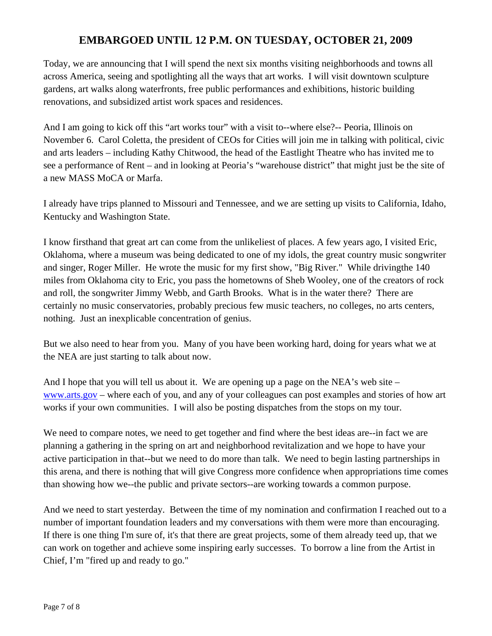Today, we are announcing that I will spend the next six months visiting neighborhoods and towns all across America, seeing and spotlighting all the ways that art works. I will visit downtown sculpture gardens, art walks along waterfronts, free public performances and exhibitions, historic building renovations, and subsidized artist work spaces and residences.

And I am going to kick off this "art works tour" with a visit to--where else?-- Peoria, Illinois on November 6. Carol Coletta, the president of CEOs for Cities will join me in talking with political, civic and arts leaders – including Kathy Chitwood, the head of the Eastlight Theatre who has invited me to see a performance of Rent – and in looking at Peoria's "warehouse district" that might just be the site of a new MASS MoCA or Marfa.

I already have trips planned to Missouri and Tennessee, and we are setting up visits to California, Idaho, Kentucky and Washington State.

I know firsthand that great art can come from the unlikeliest of places. A few years ago, I visited Eric, Oklahoma, where a museum was being dedicated to one of my idols, the great country music songwriter and singer, Roger Miller. He wrote the music for my first show, "Big River." While drivingthe 140 miles from Oklahoma city to Eric, you pass the hometowns of Sheb Wooley, one of the creators of rock and roll, the songwriter Jimmy Webb, and Garth Brooks. What is in the water there? There are certainly no music conservatories, probably precious few music teachers, no colleges, no arts centers, nothing. Just an inexplicable concentration of genius.

But we also need to hear from you. Many of you have been working hard, doing for years what we at the NEA are just starting to talk about now.

And I hope that you will tell us about it. We are opening up a page on the NEA's web site – [www.arts.gov](http://www.arts.gov/) – where each of you, and any of your colleagues can post examples and stories of how art works if your own communities. I will also be posting dispatches from the stops on my tour.

We need to compare notes, we need to get together and find where the best ideas are--in fact we are planning a gathering in the spring on art and neighborhood revitalization and we hope to have your active participation in that--but we need to do more than talk. We need to begin lasting partnerships in this arena, and there is nothing that will give Congress more confidence when appropriations time comes than showing how we--the public and private sectors--are working towards a common purpose.

And we need to start yesterday. Between the time of my nomination and confirmation I reached out to a number of important foundation leaders and my conversations with them were more than encouraging. If there is one thing I'm sure of, it's that there are great projects, some of them already teed up, that we can work on together and achieve some inspiring early successes. To borrow a line from the Artist in Chief, I'm "fired up and ready to go."